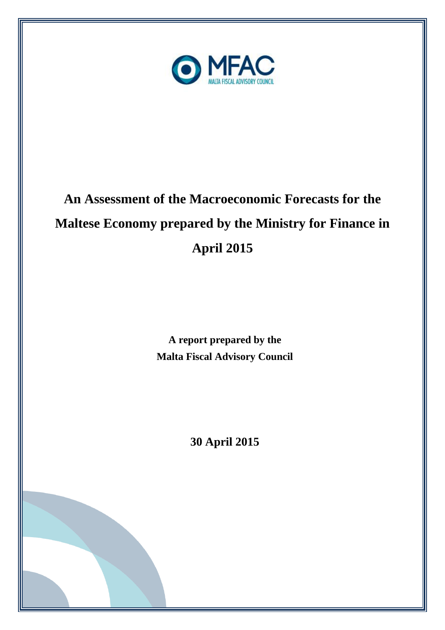

# **An Assessment of the Macroeconomic Forecasts for the Maltese Economy prepared by the Ministry for Finance in April 2015**

**A report prepared by the Malta Fiscal Advisory Council**

**30 April 2015**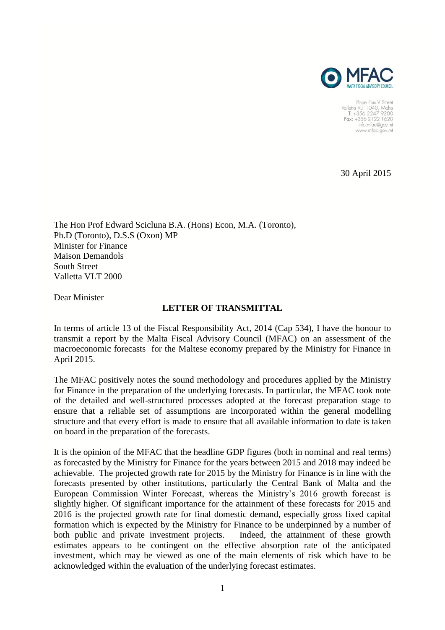

Pope Pius V Street<br>Valletta VLT 1040, Malta<br>T: +356 2247 9200 Fax: +356 2122 1620 info.mfac@gov.mt www.mfac.gov.mt

30 April 2015

The Hon Prof Edward Scicluna B.A. (Hons) Econ, M.A. (Toronto), Ph.D (Toronto), D.S.S (Oxon) MP Minister for Finance Maison Demandols South Street Valletta VLT 2000

Dear Minister

#### **LETTER OF TRANSMITTAL**

In terms of article 13 of the Fiscal Responsibility Act, 2014 (Cap 534), I have the honour to transmit a report by the Malta Fiscal Advisory Council (MFAC) on an assessment of the macroeconomic forecasts for the Maltese economy prepared by the Ministry for Finance in April 2015.

The MFAC positively notes the sound methodology and procedures applied by the Ministry for Finance in the preparation of the underlying forecasts. In particular, the MFAC took note of the detailed and well-structured processes adopted at the forecast preparation stage to ensure that a reliable set of assumptions are incorporated within the general modelling structure and that every effort is made to ensure that all available information to date is taken on board in the preparation of the forecasts.

It is the opinion of the MFAC that the headline GDP figures (both in nominal and real terms) as forecasted by the Ministry for Finance for the years between 2015 and 2018 may indeed be achievable. The projected growth rate for 2015 by the Ministry for Finance is in line with the forecasts presented by other institutions, particularly the Central Bank of Malta and the European Commission Winter Forecast, whereas the Ministry's 2016 growth forecast is slightly higher. Of significant importance for the attainment of these forecasts for 2015 and 2016 is the projected growth rate for final domestic demand, especially gross fixed capital formation which is expected by the Ministry for Finance to be underpinned by a number of both public and private investment projects. Indeed, the attainment of these growth estimates appears to be contingent on the effective absorption rate of the anticipated investment, which may be viewed as one of the main elements of risk which have to be acknowledged within the evaluation of the underlying forecast estimates.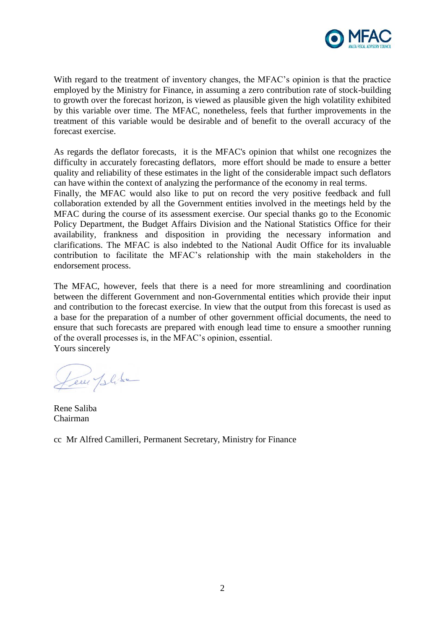

With regard to the treatment of inventory changes, the MFAC's opinion is that the practice employed by the Ministry for Finance, in assuming a zero contribution rate of stock-building to growth over the forecast horizon, is viewed as plausible given the high volatility exhibited by this variable over time. The MFAC, nonetheless, feels that further improvements in the treatment of this variable would be desirable and of benefit to the overall accuracy of the forecast exercise.

As regards the deflator forecasts, it is the MFAC's opinion that whilst one recognizes the difficulty in accurately forecasting deflators, more effort should be made to ensure a better quality and reliability of these estimates in the light of the considerable impact such deflators can have within the context of analyzing the performance of the economy in real terms.

Finally, the MFAC would also like to put on record the very positive feedback and full collaboration extended by all the Government entities involved in the meetings held by the MFAC during the course of its assessment exercise. Our special thanks go to the Economic Policy Department, the Budget Affairs Division and the National Statistics Office for their availability, frankness and disposition in providing the necessary information and clarifications. The MFAC is also indebted to the National Audit Office for its invaluable contribution to facilitate the MFAC's relationship with the main stakeholders in the endorsement process.

The MFAC, however, feels that there is a need for more streamlining and coordination between the different Government and non-Governmental entities which provide their input and contribution to the forecast exercise. In view that the output from this forecast is used as a base for the preparation of a number of other government official documents, the need to ensure that such forecasts are prepared with enough lead time to ensure a smoother running of the overall processes is, in the MFAC's opinion, essential. Yours sincerely

Leur Jelise

Rene Saliba Chairman

cc Mr Alfred Camilleri, Permanent Secretary, Ministry for Finance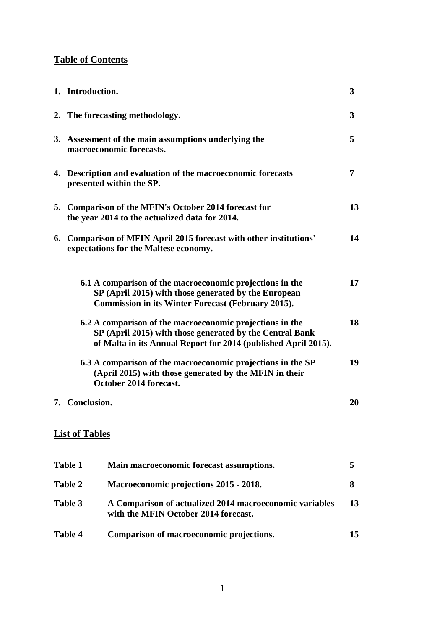# **Table of Contents**

| 1. Introduction.                                                                                                                                                                       | 3  |
|----------------------------------------------------------------------------------------------------------------------------------------------------------------------------------------|----|
| 2. The forecasting methodology.                                                                                                                                                        | 3  |
| 3. Assessment of the main assumptions underlying the<br>macroeconomic forecasts.                                                                                                       | 5  |
| 4. Description and evaluation of the macroeconomic forecasts<br>presented within the SP.                                                                                               | 7  |
| 5. Comparison of the MFIN's October 2014 forecast for<br>the year 2014 to the actualized data for 2014.                                                                                | 13 |
| 6. Comparison of MFIN April 2015 forecast with other institutions'<br>expectations for the Maltese economy.                                                                            | 14 |
| 6.1 A comparison of the macroeconomic projections in the<br>SP (April 2015) with those generated by the European<br><b>Commission in its Winter Forecast (February 2015).</b>          | 17 |
| 6.2 A comparison of the macroeconomic projections in the<br>SP (April 2015) with those generated by the Central Bank<br>of Malta in its Annual Report for 2014 (published April 2015). | 18 |
| 6.3 A comparison of the macroeconomic projections in the SP<br>(April 2015) with those generated by the MFIN in their<br>October 2014 forecast.                                        | 19 |
| 7. Conclusion.                                                                                                                                                                         | 20 |
| <b>List of Tables</b>                                                                                                                                                                  |    |
| <b>Table 1</b><br>Main macroeconomic forecast assumptions.                                                                                                                             | 5  |
| <b>Table 2</b><br>Macroeconomic projections 2015 - 2018.                                                                                                                               | 8  |
| Table 3<br>A Comparison of actualized 2014 macroeconomic variables<br>with the MFIN October 2014 forecast.                                                                             | 13 |

| Table 4 | Comparison of macroeconomic projections. |  |
|---------|------------------------------------------|--|
|         |                                          |  |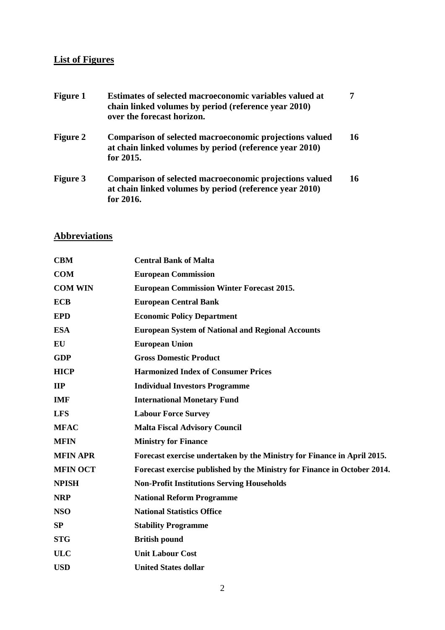## **List of Figures**

| <b>Figure 1</b> | Estimates of selected macroeconomic variables valued at<br>chain linked volumes by period (reference year 2010)<br>over the forecast horizon. |    |
|-----------------|-----------------------------------------------------------------------------------------------------------------------------------------------|----|
| <b>Figure 2</b> | Comparison of selected macroeconomic projections valued<br>at chain linked volumes by period (reference year 2010)<br>for 2015.               | 16 |
| <b>Figure 3</b> | Comparison of selected macroeconomic projections valued<br>at chain linked volumes by period (reference year 2010)<br>for 2016.               | 16 |

# **Abbreviations**

| <b>CBM</b>      | <b>Central Bank of Malta</b>                                             |
|-----------------|--------------------------------------------------------------------------|
| <b>COM</b>      | <b>European Commission</b>                                               |
| <b>COM WIN</b>  | <b>European Commission Winter Forecast 2015.</b>                         |
| <b>ECB</b>      | <b>European Central Bank</b>                                             |
| <b>EPD</b>      | <b>Economic Policy Department</b>                                        |
| <b>ESA</b>      | <b>European System of National and Regional Accounts</b>                 |
| EU              | <b>European Union</b>                                                    |
| <b>GDP</b>      | <b>Gross Domestic Product</b>                                            |
| <b>HICP</b>     | <b>Harmonized Index of Consumer Prices</b>                               |
| $\mathbf{H}$    | <b>Individual Investors Programme</b>                                    |
| <b>IMF</b>      | <b>International Monetary Fund</b>                                       |
| <b>LFS</b>      | <b>Labour Force Survey</b>                                               |
| <b>MFAC</b>     | <b>Malta Fiscal Advisory Council</b>                                     |
| <b>MFIN</b>     | <b>Ministry for Finance</b>                                              |
| <b>MFIN APR</b> | Forecast exercise undertaken by the Ministry for Finance in April 2015.  |
| <b>MFIN OCT</b> | Forecast exercise published by the Ministry for Finance in October 2014. |
| <b>NPISH</b>    | <b>Non-Profit Institutions Serving Households</b>                        |
| <b>NRP</b>      | <b>National Reform Programme</b>                                         |
| <b>NSO</b>      | <b>National Statistics Office</b>                                        |
| SP              | <b>Stability Programme</b>                                               |
| <b>STG</b>      | <b>British pound</b>                                                     |
| <b>ULC</b>      | <b>Unit Labour Cost</b>                                                  |
| <b>USD</b>      | <b>United States dollar</b>                                              |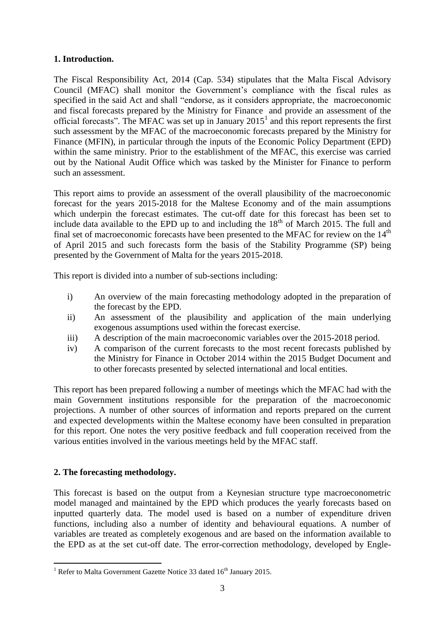#### **1. Introduction.**

The Fiscal Responsibility Act, 2014 (Cap. 534) stipulates that the Malta Fiscal Advisory Council (MFAC) shall monitor the Government's compliance with the fiscal rules as specified in the said Act and shall "endorse, as it considers appropriate, the macroeconomic and fiscal forecasts prepared by the Ministry for Finance and provide an assessment of the official forecasts". The MFAC was set up in January  $2015<sup>1</sup>$  and this report represents the first such assessment by the MFAC of the macroeconomic forecasts prepared by the Ministry for Finance (MFIN), in particular through the inputs of the Economic Policy Department (EPD) within the same ministry. Prior to the establishment of the MFAC, this exercise was carried out by the National Audit Office which was tasked by the Minister for Finance to perform such an assessment.

This report aims to provide an assessment of the overall plausibility of the macroeconomic forecast for the years 2015-2018 for the Maltese Economy and of the main assumptions which underpin the forecast estimates. The cut-off date for this forecast has been set to include data available to the EPD up to and including the  $18<sup>th</sup>$  of March 2015. The full and final set of macroeconomic forecasts have been presented to the MFAC for review on the  $14<sup>th</sup>$ of April 2015 and such forecasts form the basis of the Stability Programme (SP) being presented by the Government of Malta for the years 2015-2018.

This report is divided into a number of sub-sections including:

- i) An overview of the main forecasting methodology adopted in the preparation of the forecast by the EPD.
- ii) An assessment of the plausibility and application of the main underlying exogenous assumptions used within the forecast exercise.
- iii) A description of the main macroeconomic variables over the 2015-2018 period.
- iv) A comparison of the current forecasts to the most recent forecasts published by the Ministry for Finance in October 2014 within the 2015 Budget Document and to other forecasts presented by selected international and local entities.

This report has been prepared following a number of meetings which the MFAC had with the main Government institutions responsible for the preparation of the macroeconomic projections. A number of other sources of information and reports prepared on the current and expected developments within the Maltese economy have been consulted in preparation for this report. One notes the very positive feedback and full cooperation received from the various entities involved in the various meetings held by the MFAC staff.

## **2. The forecasting methodology.**

This forecast is based on the output from a Keynesian structure type macroeconometric model managed and maintained by the EPD which produces the yearly forecasts based on inputted quarterly data. The model used is based on a number of expenditure driven functions, including also a number of identity and behavioural equations. A number of variables are treated as completely exogenous and are based on the information available to the EPD as at the set cut-off date. The error-correction methodology, developed by Engle-

<sup>1</sup> <sup>1</sup> Refer to Malta Government Gazette Notice 33 dated  $16<sup>th</sup>$  January 2015.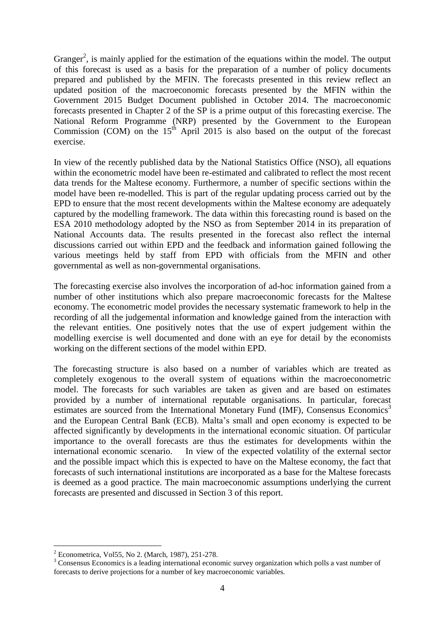Granger<sup>2</sup>, is mainly applied for the estimation of the equations within the model. The output of this forecast is used as a basis for the preparation of a number of policy documents prepared and published by the MFIN. The forecasts presented in this review reflect an updated position of the macroeconomic forecasts presented by the MFIN within the Government 2015 Budget Document published in October 2014. The macroeconomic forecasts presented in Chapter 2 of the SP is a prime output of this forecasting exercise. The National Reform Programme (NRP) presented by the Government to the European Commission (COM) on the 15th April 2015 is also based on the output of the forecast exercise.

In view of the recently published data by the National Statistics Office (NSO), all equations within the econometric model have been re-estimated and calibrated to reflect the most recent data trends for the Maltese economy. Furthermore, a number of specific sections within the model have been re-modelled. This is part of the regular updating process carried out by the EPD to ensure that the most recent developments within the Maltese economy are adequately captured by the modelling framework. The data within this forecasting round is based on the ESA 2010 methodology adopted by the NSO as from September 2014 in its preparation of National Accounts data. The results presented in the forecast also reflect the internal discussions carried out within EPD and the feedback and information gained following the various meetings held by staff from EPD with officials from the MFIN and other governmental as well as non-governmental organisations.

The forecasting exercise also involves the incorporation of ad-hoc information gained from a number of other institutions which also prepare macroeconomic forecasts for the Maltese economy. The econometric model provides the necessary systematic framework to help in the recording of all the judgemental information and knowledge gained from the interaction with the relevant entities. One positively notes that the use of expert judgement within the modelling exercise is well documented and done with an eye for detail by the economists working on the different sections of the model within EPD.

The forecasting structure is also based on a number of variables which are treated as completely exogenous to the overall system of equations within the macroeconometric model. The forecasts for such variables are taken as given and are based on estimates provided by a number of international reputable organisations. In particular, forecast estimates are sourced from the International Monetary Fund (IMF), Consensus Economics<sup>3</sup> and the European Central Bank (ECB). Malta's small and open economy is expected to be affected significantly by developments in the international economic situation. Of particular importance to the overall forecasts are thus the estimates for developments within the international economic scenario. In view of the expected volatility of the external sector and the possible impact which this is expected to have on the Maltese economy, the fact that forecasts of such international institutions are incorporated as a base for the Maltese forecasts is deemed as a good practice. The main macroeconomic assumptions underlying the current forecasts are presented and discussed in Section 3 of this report.

<u>.</u>

<sup>2</sup> Econometrica, Vol55, No 2. (March, 1987), 251-278.

<sup>&</sup>lt;sup>3</sup> Consensus Economics is a leading international economic survey organization which polls a vast number of forecasts to derive projections for a number of key macroeconomic variables.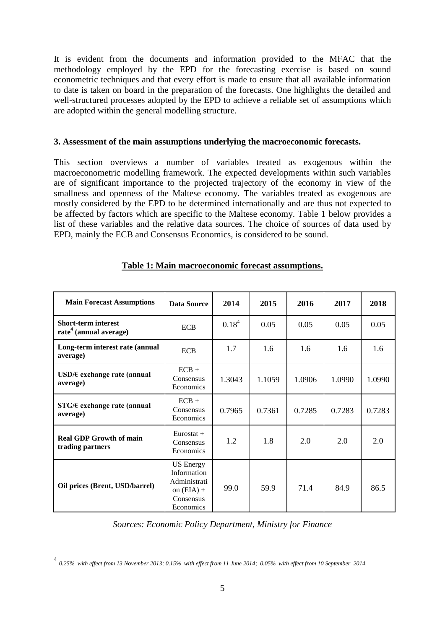It is evident from the documents and information provided to the MFAC that the methodology employed by the EPD for the forecasting exercise is based on sound econometric techniques and that every effort is made to ensure that all available information to date is taken on board in the preparation of the forecasts. One highlights the detailed and well-structured processes adopted by the EPD to achieve a reliable set of assumptions which are adopted within the general modelling structure.

#### **3. Assessment of the main assumptions underlying the macroeconomic forecasts.**

This section overviews a number of variables treated as exogenous within the macroeconometric modelling framework. The expected developments within such variables are of significant importance to the projected trajectory of the economy in view of the smallness and openness of the Maltese economy. The variables treated as exogenous are mostly considered by the EPD to be determined internationally and are thus not expected to be affected by factors which are specific to the Maltese economy. Table 1 below provides a list of these variables and the relative data sources. The choice of sources of data used by EPD, mainly the ECB and Consensus Economics, is considered to be sound.

| <b>Main Forecast Assumptions</b>                                 | <b>Data Source</b>                                                                        | 2014              | 2015             | 2016   | 2017   | 2018   |
|------------------------------------------------------------------|-------------------------------------------------------------------------------------------|-------------------|------------------|--------|--------|--------|
| <b>Short-term interest</b><br>rate <sup>4</sup> (annual average) | <b>ECB</b>                                                                                | 0.18 <sup>4</sup> | 0.05             | 0.05   | 0.05   | 0.05   |
| Long-term interest rate (annual<br>average)                      | <b>ECB</b>                                                                                | 1.7               | 1.6<br>1.6       |        | 1.6    | 1.6    |
| USD/ $\epsilon$ exchange rate (annual<br>average)                | $ECB +$<br>Consensus<br>Economics                                                         | 1.3043            | 1.1059<br>1.0906 |        | 1.0990 | 1.0990 |
| $STG/E$ exchange rate (annual<br>average)                        | $ECB +$<br>Consensus<br>Economics                                                         | 0.7965            | 0.7361           | 0.7285 | 0.7283 | 0.7283 |
| <b>Real GDP Growth of main</b><br>trading partners               | $Eurostat +$<br>Consensus<br>Economics                                                    | 1.2               | 1.8              | 2.0    | 2.0    | 2.0    |
| Oil prices (Brent, USD/barrel)                                   | <b>US</b> Energy<br>Information<br>Administrati<br>on $(EIA) +$<br>Consensus<br>Economics | 99.0              | 59.9             | 71.4   | 84.9   | 86.5   |

#### **Table 1: Main macroeconomic forecast assumptions.**

*Sources: Economic Policy Department, Ministry for Finance*

 4 *0.25% with effect from 13 November 2013; 0.15% with effect from 11 June 2014; 0.05% with effect from 10 September 2014.*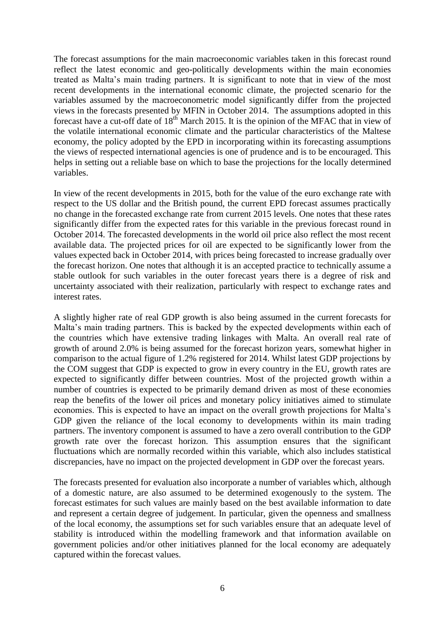The forecast assumptions for the main macroeconomic variables taken in this forecast round reflect the latest economic and geo-politically developments within the main economies treated as Malta's main trading partners. It is significant to note that in view of the most recent developments in the international economic climate, the projected scenario for the variables assumed by the macroeconometric model significantly differ from the projected views in the forecasts presented by MFIN in October 2014. The assumptions adopted in this forecast have a cut-off date of  $18<sup>th</sup>$  March 2015. It is the opinion of the MFAC that in view of the volatile international economic climate and the particular characteristics of the Maltese economy, the policy adopted by the EPD in incorporating within its forecasting assumptions the views of respected international agencies is one of prudence and is to be encouraged. This helps in setting out a reliable base on which to base the projections for the locally determined variables.

In view of the recent developments in 2015, both for the value of the euro exchange rate with respect to the US dollar and the British pound, the current EPD forecast assumes practically no change in the forecasted exchange rate from current 2015 levels. One notes that these rates significantly differ from the expected rates for this variable in the previous forecast round in October 2014. The forecasted developments in the world oil price also reflect the most recent available data. The projected prices for oil are expected to be significantly lower from the values expected back in October 2014, with prices being forecasted to increase gradually over the forecast horizon. One notes that although it is an accepted practice to technically assume a stable outlook for such variables in the outer forecast years there is a degree of risk and uncertainty associated with their realization, particularly with respect to exchange rates and interest rates.

A slightly higher rate of real GDP growth is also being assumed in the current forecasts for Malta's main trading partners. This is backed by the expected developments within each of the countries which have extensive trading linkages with Malta. An overall real rate of growth of around 2.0% is being assumed for the forecast horizon years, somewhat higher in comparison to the actual figure of 1.2% registered for 2014. Whilst latest GDP projections by the COM suggest that GDP is expected to grow in every country in the EU, growth rates are expected to significantly differ between countries. Most of the projected growth within a number of countries is expected to be primarily demand driven as most of these economies reap the benefits of the lower oil prices and monetary policy initiatives aimed to stimulate economies. This is expected to have an impact on the overall growth projections for Malta's GDP given the reliance of the local economy to developments within its main trading partners. The inventory component is assumed to have a zero overall contribution to the GDP growth rate over the forecast horizon. This assumption ensures that the significant fluctuations which are normally recorded within this variable, which also includes statistical discrepancies, have no impact on the projected development in GDP over the forecast years.

The forecasts presented for evaluation also incorporate a number of variables which, although of a domestic nature, are also assumed to be determined exogenously to the system. The forecast estimates for such values are mainly based on the best available information to date and represent a certain degree of judgement. In particular, given the openness and smallness of the local economy, the assumptions set for such variables ensure that an adequate level of stability is introduced within the modelling framework and that information available on government policies and/or other initiatives planned for the local economy are adequately captured within the forecast values.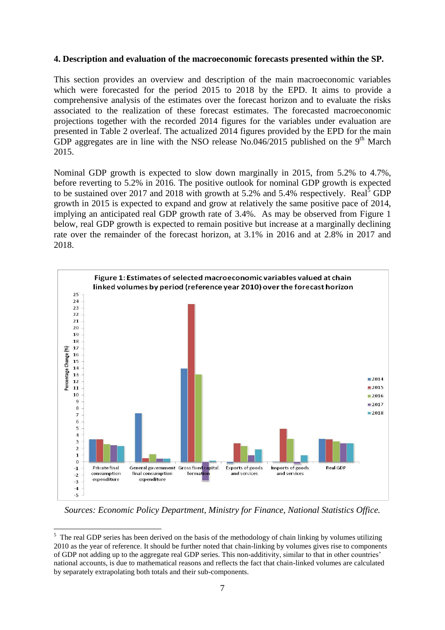#### **4. Description and evaluation of the macroeconomic forecasts presented within the SP.**

This section provides an overview and description of the main macroeconomic variables which were forecasted for the period 2015 to 2018 by the EPD. It aims to provide a comprehensive analysis of the estimates over the forecast horizon and to evaluate the risks associated to the realization of these forecast estimates. The forecasted macroeconomic projections together with the recorded 2014 figures for the variables under evaluation are presented in Table 2 overleaf. The actualized 2014 figures provided by the EPD for the main GDP aggregates are in line with the NSO release No.046/2015 published on the  $9<sup>th</sup>$  March 2015.

Nominal GDP growth is expected to slow down marginally in 2015, from 5.2% to 4.7%, before reverting to 5.2% in 2016. The positive outlook for nominal GDP growth is expected to be sustained over 2017 and 2018 with growth at  $5.2\%$  and  $5.4\%$  respectively. Real<sup>5</sup> GDP growth in 2015 is expected to expand and grow at relatively the same positive pace of 2014, implying an anticipated real GDP growth rate of 3.4%. As may be observed from Figure 1 below, real GDP growth is expected to remain positive but increase at a marginally declining rate over the remainder of the forecast horizon, at 3.1% in 2016 and at 2.8% in 2017 and 2018.



*Sources: Economic Policy Department, Ministry for Finance, National Statistics Office.*

<u>.</u>

<sup>&</sup>lt;sup>5</sup> The real GDP series has been derived on the basis of the methodology of chain linking by volumes utilizing 2010 as the year of reference. It should be further noted that chain-linking by volumes gives rise to components of GDP not adding up to the aggregate real GDP series. This non-additivity, similar to that in other countries' national accounts, is due to mathematical reasons and reflects the fact that chain-linked volumes are calculated by separately extrapolating both totals and their sub-components.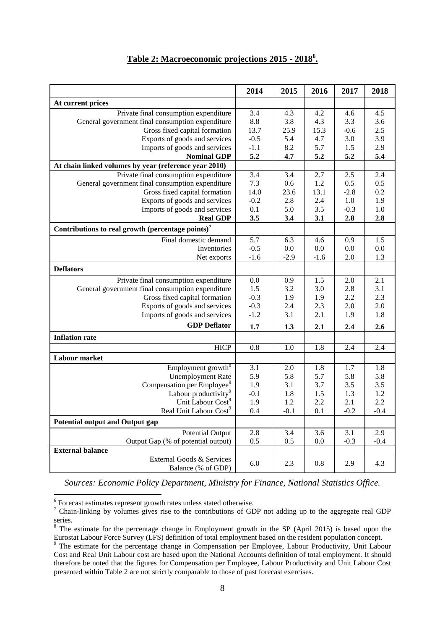## **Table 2: Macroeconomic projections 2015 - 2018<sup>6</sup> .**

|                                                               | 2014             | 2015             | 2016             | 2017   | 2018             |
|---------------------------------------------------------------|------------------|------------------|------------------|--------|------------------|
| At current prices                                             |                  |                  |                  |        |                  |
| Private final consumption expenditure                         | 3.4              | 4.3              | 4.2              | 4.6    | $4.\overline{5}$ |
| General government final consumption expenditure              | 8.8              | 3.8              | 4.3              | 3.3    | 3.6              |
| Gross fixed capital formation                                 | 13.7             | 25.9             | 15.3             | $-0.6$ | 2.5              |
| Exports of goods and services                                 | $-0.5$           | 5.4              | 4.7              | 3.0    | 3.9              |
| Imports of goods and services                                 | $-1.1$           | 8.2              | 5.7              | 1.5    | 2.9              |
| <b>Nominal GDP</b>                                            | 5.2              | 4.7              | 5.2              | 5.2    | 5.4              |
| At chain linked volumes by year (reference year 2010)         |                  |                  |                  |        |                  |
| Private final consumption expenditure                         | $\overline{3.4}$ | 3.4              | 2.7              | 2.5    | 2.4              |
| General government final consumption expenditure              | 7.3              | 0.6              | 1.2              | 0.5    | 0.5              |
| Gross fixed capital formation                                 | 14.0             | 23.6             | 13.1             | $-2.8$ | 0.2              |
| Exports of goods and services                                 | $-0.2$           | 2.8              | 2.4              | 1.0    | 1.9              |
| Imports of goods and services                                 | 0.1              | 5.0              | 3.5              | $-0.3$ | 1.0              |
| <b>Real GDP</b>                                               | 3.5              | 3.4              | 3.1              | 2.8    | 2.8              |
| Contributions to real growth (percentage points) <sup>7</sup> |                  |                  |                  |        |                  |
| Final domestic demand                                         | 5.7              | 6.3              | 4.6              | 0.9    | 1.5              |
| Inventories                                                   | $-0.5$           | 0.0              | 0.0              | 0.0    | 0.0              |
| Net exports                                                   | $-1.6$           | $-2.9$           | $-1.6$           | 2.0    | 1.3              |
| <b>Deflators</b>                                              |                  |                  |                  |        |                  |
| Private final consumption expenditure                         | 0.0              | 0.9              | 1.5              | 2.0    | 2.1              |
| General government final consumption expenditure              | 1.5              | 3.2              | 3.0              | 2.8    | 3.1              |
| Gross fixed capital formation                                 | $-0.3$           | 1.9              | 1.9              | 2.2    | 2.3              |
| Exports of goods and services                                 | $-0.3$           | 2.4              | 2.3              | 2.0    | 2.0              |
| Imports of goods and services                                 | $-1.2$           | 3.1              | 2.1              | 1.9    | 1.8              |
| <b>GDP</b> Deflator                                           | 1.7              | 1.3              | 2.1              | 2.4    | 2.6              |
| <b>Inflation rate</b>                                         |                  |                  |                  |        |                  |
| <b>HICP</b>                                                   | $\overline{0.8}$ | $\overline{1.0}$ | $\overline{1.8}$ | 2.4    | 2.4              |
| Labour market                                                 |                  |                  |                  |        |                  |
| Employment growth <sup>8</sup>                                | 3.1              | 2.0              | 1.8              | 1.7    | 1.8              |
| <b>Unemployment Rate</b>                                      | 5.9              | 5.8              | 5.7              | 5.8    | 5.8              |
| Compensation per Employee <sup>9</sup>                        | 1.9              | 3.1              | 3.7              | 3.5    | 3.5              |
| Labour productivity <sup>9</sup>                              | $-0.1$           | 1.8              | 1.5              | 1.3    | 1.2              |
| Unit Labour Cost <sup>9</sup>                                 | 1.9              | 1.2              | 2.2              | 2.1    | 2.2              |
| Real Unit Labour Cost <sup>9</sup>                            | 0.4              | $-0.1$           | 0.1              | $-0.2$ | $-0.4$           |
| Potential output and Output gap                               |                  |                  |                  |        |                  |
| <b>Potential Output</b>                                       | 2.8              | 3.4              | 3.6              | 3.1    | 2.9              |
| Output Gap (% of potential output)                            | 0.5              | 0.5              | 0.0              | $-0.3$ | $-0.4$           |
| <b>External balance</b>                                       |                  |                  |                  |        |                  |
| External Goods & Services                                     | 6.0              | 2.3              | 0.8              | 2.9    | 4.3              |
| Balance (% of GDP)                                            |                  |                  |                  |        |                  |

*Sources: Economic Policy Department, Ministry for Finance, National Statistics Office.*

6 Forecast estimates represent growth rates unless stated otherwise.

<sup>7</sup> Chain-linking by volumes gives rise to the contributions of GDP not adding up to the aggregate real GDP series.

<sup>&</sup>lt;sup>8</sup> The estimate for the percentage change in Employment growth in the SP (April 2015) is based upon the Eurostat Labour Force Survey (LFS) definition of total employment based on the resident population concept.

<sup>&</sup>lt;sup>9</sup> The estimate for the percentage change in Compensation per Employee, Labour Productivity, Unit Labour Cost and Real Unit Labour cost are based upon the National Accounts definition of total employment. It should therefore be noted that the figures for Compensation per Employee, Labour Productivity and Unit Labour Cost presented within Table 2 are not strictly comparable to those of past forecast exercises.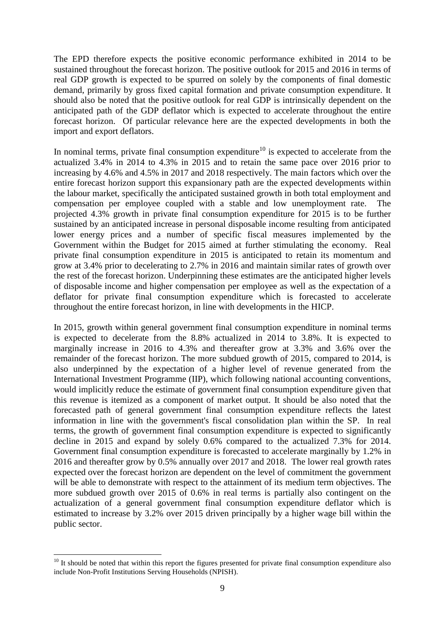The EPD therefore expects the positive economic performance exhibited in 2014 to be sustained throughout the forecast horizon. The positive outlook for 2015 and 2016 in terms of real GDP growth is expected to be spurred on solely by the components of final domestic demand, primarily by gross fixed capital formation and private consumption expenditure. It should also be noted that the positive outlook for real GDP is intrinsically dependent on the anticipated path of the GDP deflator which is expected to accelerate throughout the entire forecast horizon. Of particular relevance here are the expected developments in both the import and export deflators.

In nominal terms, private final consumption expenditure<sup>10</sup> is expected to accelerate from the actualized 3.4% in 2014 to 4.3% in 2015 and to retain the same pace over 2016 prior to increasing by 4.6% and 4.5% in 2017 and 2018 respectively. The main factors which over the entire forecast horizon support this expansionary path are the expected developments within the labour market, specifically the anticipated sustained growth in both total employment and compensation per employee coupled with a stable and low unemployment rate. projected 4.3% growth in private final consumption expenditure for 2015 is to be further sustained by an anticipated increase in personal disposable income resulting from anticipated lower energy prices and a number of specific fiscal measures implemented by the Government within the Budget for 2015 aimed at further stimulating the economy. Real private final consumption expenditure in 2015 is anticipated to retain its momentum and grow at 3.4% prior to decelerating to 2.7% in 2016 and maintain similar rates of growth over the rest of the forecast horizon. Underpinning these estimates are the anticipated higher levels of disposable income and higher compensation per employee as well as the expectation of a deflator for private final consumption expenditure which is forecasted to accelerate throughout the entire forecast horizon, in line with developments in the HICP.

In 2015, growth within general government final consumption expenditure in nominal terms is expected to decelerate from the 8.8% actualized in 2014 to 3.8%. It is expected to marginally increase in 2016 to 4.3% and thereafter grow at 3.3% and 3.6% over the remainder of the forecast horizon. The more subdued growth of 2015, compared to 2014, is also underpinned by the expectation of a higher level of revenue generated from the International Investment Programme (IIP), which following national accounting conventions, would implicitly reduce the estimate of government final consumption expenditure given that this revenue is itemized as a component of market output. It should be also noted that the forecasted path of general government final consumption expenditure reflects the latest information in line with the government's fiscal consolidation plan within the SP. In real terms, the growth of government final consumption expenditure is expected to significantly decline in 2015 and expand by solely 0.6% compared to the actualized 7.3% for 2014. Government final consumption expenditure is forecasted to accelerate marginally by 1.2% in 2016 and thereafter grow by 0.5% annually over 2017 and 2018. The lower real growth rates expected over the forecast horizon are dependent on the level of commitment the government will be able to demonstrate with respect to the attainment of its medium term objectives. The more subdued growth over 2015 of 0.6% in real terms is partially also contingent on the actualization of a general government final consumption expenditure deflator which is estimated to increase by 3.2% over 2015 driven principally by a higher wage bill within the public sector.

<sup>1</sup>  $10$  It should be noted that within this report the figures presented for private final consumption expenditure also include Non-Profit Institutions Serving Households (NPISH).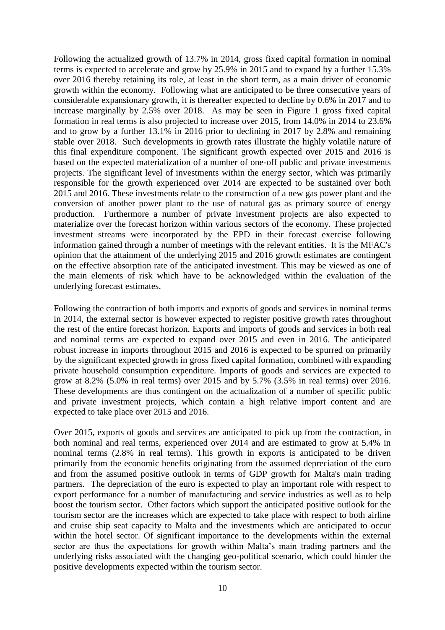Following the actualized growth of 13.7% in 2014, gross fixed capital formation in nominal terms is expected to accelerate and grow by 25.9% in 2015 and to expand by a further 15.3% over 2016 thereby retaining its role, at least in the short term, as a main driver of economic growth within the economy. Following what are anticipated to be three consecutive years of considerable expansionary growth, it is thereafter expected to decline by 0.6% in 2017 and to increase marginally by 2.5% over 2018. As may be seen in Figure 1 gross fixed capital formation in real terms is also projected to increase over 2015, from 14.0% in 2014 to 23.6% and to grow by a further 13.1% in 2016 prior to declining in 2017 by 2.8% and remaining stable over 2018. Such developments in growth rates illustrate the highly volatile nature of this final expenditure component. The significant growth expected over 2015 and 2016 is based on the expected materialization of a number of one-off public and private investments projects. The significant level of investments within the energy sector, which was primarily responsible for the growth experienced over 2014 are expected to be sustained over both 2015 and 2016. These investments relate to the construction of a new gas power plant and the conversion of another power plant to the use of natural gas as primary source of energy production. Furthermore a number of private investment projects are also expected to materialize over the forecast horizon within various sectors of the economy. These projected investment streams were incorporated by the EPD in their forecast exercise following information gained through a number of meetings with the relevant entities. It is the MFAC's opinion that the attainment of the underlying 2015 and 2016 growth estimates are contingent on the effective absorption rate of the anticipated investment. This may be viewed as one of the main elements of risk which have to be acknowledged within the evaluation of the underlying forecast estimates.

Following the contraction of both imports and exports of goods and services in nominal terms in 2014, the external sector is however expected to register positive growth rates throughout the rest of the entire forecast horizon. Exports and imports of goods and services in both real and nominal terms are expected to expand over 2015 and even in 2016. The anticipated robust increase in imports throughout 2015 and 2016 is expected to be spurred on primarily by the significant expected growth in gross fixed capital formation, combined with expanding private household consumption expenditure. Imports of goods and services are expected to grow at 8.2% (5.0% in real terms) over 2015 and by 5.7% (3.5% in real terms) over 2016. These developments are thus contingent on the actualization of a number of specific public and private investment projects, which contain a high relative import content and are expected to take place over 2015 and 2016.

Over 2015, exports of goods and services are anticipated to pick up from the contraction, in both nominal and real terms, experienced over 2014 and are estimated to grow at 5.4% in nominal terms (2.8% in real terms). This growth in exports is anticipated to be driven primarily from the economic benefits originating from the assumed depreciation of the euro and from the assumed positive outlook in terms of GDP growth for Malta's main trading partners. The depreciation of the euro is expected to play an important role with respect to export performance for a number of manufacturing and service industries as well as to help boost the tourism sector. Other factors which support the anticipated positive outlook for the tourism sector are the increases which are expected to take place with respect to both airline and cruise ship seat capacity to Malta and the investments which are anticipated to occur within the hotel sector. Of significant importance to the developments within the external sector are thus the expectations for growth within Malta's main trading partners and the underlying risks associated with the changing geo-political scenario, which could hinder the positive developments expected within the tourism sector.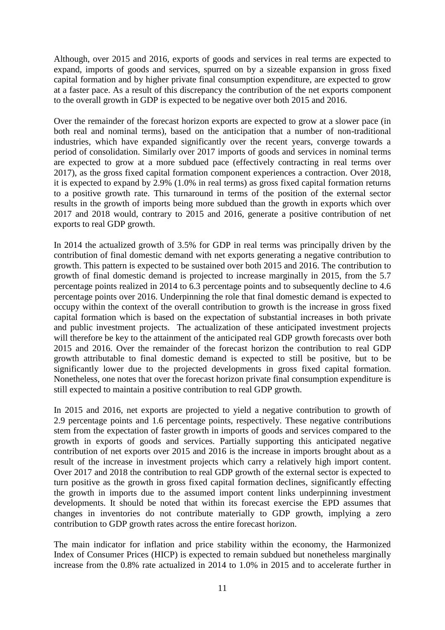Although, over 2015 and 2016, exports of goods and services in real terms are expected to expand, imports of goods and services, spurred on by a sizeable expansion in gross fixed capital formation and by higher private final consumption expenditure, are expected to grow at a faster pace. As a result of this discrepancy the contribution of the net exports component to the overall growth in GDP is expected to be negative over both 2015 and 2016.

Over the remainder of the forecast horizon exports are expected to grow at a slower pace (in both real and nominal terms), based on the anticipation that a number of non-traditional industries, which have expanded significantly over the recent years, converge towards a period of consolidation. Similarly over 2017 imports of goods and services in nominal terms are expected to grow at a more subdued pace (effectively contracting in real terms over 2017), as the gross fixed capital formation component experiences a contraction. Over 2018, it is expected to expand by 2.9% (1.0% in real terms) as gross fixed capital formation returns to a positive growth rate. This turnaround in terms of the position of the external sector results in the growth of imports being more subdued than the growth in exports which over 2017 and 2018 would, contrary to 2015 and 2016, generate a positive contribution of net exports to real GDP growth.

In 2014 the actualized growth of 3.5% for GDP in real terms was principally driven by the contribution of final domestic demand with net exports generating a negative contribution to growth. This pattern is expected to be sustained over both 2015 and 2016. The contribution to growth of final domestic demand is projected to increase marginally in 2015, from the 5.7 percentage points realized in 2014 to 6.3 percentage points and to subsequently decline to 4.6 percentage points over 2016. Underpinning the role that final domestic demand is expected to occupy within the context of the overall contribution to growth is the increase in gross fixed capital formation which is based on the expectation of substantial increases in both private and public investment projects. The actualization of these anticipated investment projects will therefore be key to the attainment of the anticipated real GDP growth forecasts over both 2015 and 2016. Over the remainder of the forecast horizon the contribution to real GDP growth attributable to final domestic demand is expected to still be positive, but to be significantly lower due to the projected developments in gross fixed capital formation. Nonetheless, one notes that over the forecast horizon private final consumption expenditure is still expected to maintain a positive contribution to real GDP growth.

In 2015 and 2016, net exports are projected to yield a negative contribution to growth of 2.9 percentage points and 1.6 percentage points, respectively. These negative contributions stem from the expectation of faster growth in imports of goods and services compared to the growth in exports of goods and services. Partially supporting this anticipated negative contribution of net exports over 2015 and 2016 is the increase in imports brought about as a result of the increase in investment projects which carry a relatively high import content. Over 2017 and 2018 the contribution to real GDP growth of the external sector is expected to turn positive as the growth in gross fixed capital formation declines, significantly effecting the growth in imports due to the assumed import content links underpinning investment developments. It should be noted that within its forecast exercise the EPD assumes that changes in inventories do not contribute materially to GDP growth, implying a zero contribution to GDP growth rates across the entire forecast horizon.

The main indicator for inflation and price stability within the economy, the Harmonized Index of Consumer Prices (HICP) is expected to remain subdued but nonetheless marginally increase from the 0.8% rate actualized in 2014 to 1.0% in 2015 and to accelerate further in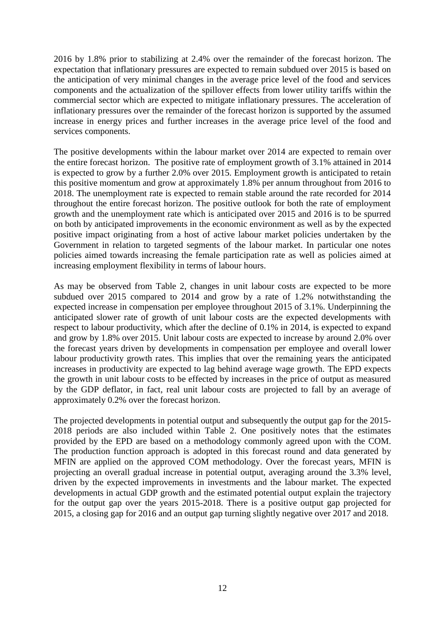2016 by 1.8% prior to stabilizing at 2.4% over the remainder of the forecast horizon. The expectation that inflationary pressures are expected to remain subdued over 2015 is based on the anticipation of very minimal changes in the average price level of the food and services components and the actualization of the spillover effects from lower utility tariffs within the commercial sector which are expected to mitigate inflationary pressures. The acceleration of inflationary pressures over the remainder of the forecast horizon is supported by the assumed increase in energy prices and further increases in the average price level of the food and services components.

The positive developments within the labour market over 2014 are expected to remain over the entire forecast horizon. The positive rate of employment growth of 3.1% attained in 2014 is expected to grow by a further 2.0% over 2015. Employment growth is anticipated to retain this positive momentum and grow at approximately 1.8% per annum throughout from 2016 to 2018. The unemployment rate is expected to remain stable around the rate recorded for 2014 throughout the entire forecast horizon. The positive outlook for both the rate of employment growth and the unemployment rate which is anticipated over 2015 and 2016 is to be spurred on both by anticipated improvements in the economic environment as well as by the expected positive impact originating from a host of active labour market policies undertaken by the Government in relation to targeted segments of the labour market. In particular one notes policies aimed towards increasing the female participation rate as well as policies aimed at increasing employment flexibility in terms of labour hours.

As may be observed from Table 2, changes in unit labour costs are expected to be more subdued over 2015 compared to 2014 and grow by a rate of 1.2% notwithstanding the expected increase in compensation per employee throughout 2015 of 3.1%. Underpinning the anticipated slower rate of growth of unit labour costs are the expected developments with respect to labour productivity, which after the decline of 0.1% in 2014, is expected to expand and grow by 1.8% over 2015. Unit labour costs are expected to increase by around 2.0% over the forecast years driven by developments in compensation per employee and overall lower labour productivity growth rates. This implies that over the remaining years the anticipated increases in productivity are expected to lag behind average wage growth. The EPD expects the growth in unit labour costs to be effected by increases in the price of output as measured by the GDP deflator, in fact, real unit labour costs are projected to fall by an average of approximately 0.2% over the forecast horizon.

The projected developments in potential output and subsequently the output gap for the 2015- 2018 periods are also included within Table 2. One positively notes that the estimates provided by the EPD are based on a methodology commonly agreed upon with the COM. The production function approach is adopted in this forecast round and data generated by MFIN are applied on the approved COM methodology. Over the forecast years, MFIN is projecting an overall gradual increase in potential output, averaging around the 3.3% level, driven by the expected improvements in investments and the labour market. The expected developments in actual GDP growth and the estimated potential output explain the trajectory for the output gap over the years 2015-2018. There is a positive output gap projected for 2015, a closing gap for 2016 and an output gap turning slightly negative over 2017 and 2018.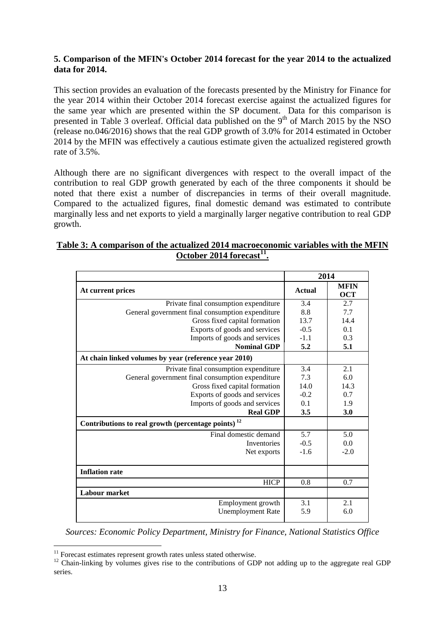#### **5. Comparison of the MFIN's October 2014 forecast for the year 2014 to the actualized data for 2014.**

This section provides an evaluation of the forecasts presented by the Ministry for Finance for the year 2014 within their October 2014 forecast exercise against the actualized figures for the same year which are presented within the SP document. Data for this comparison is presented in Table 3 overleaf. Official data published on the  $9<sup>th</sup>$  of March 2015 by the NSO (release no.046/2016) shows that the real GDP growth of 3.0% for 2014 estimated in October 2014 by the MFIN was effectively a cautious estimate given the actualized registered growth rate of 3.5%.

Although there are no significant divergences with respect to the overall impact of the contribution to real GDP growth generated by each of the three components it should be noted that there exist a number of discrepancies in terms of their overall magnitude. Compared to the actualized figures, final domestic demand was estimated to contribute marginally less and net exports to yield a marginally larger negative contribution to real GDP growth.

#### **Table 3: A comparison of the actualized 2014 macroeconomic variables with the MFIN October 2014 forecast<sup>11</sup> .**

|                                                                | 2014          |                           |  |  |  |
|----------------------------------------------------------------|---------------|---------------------------|--|--|--|
| At current prices                                              | <b>Actual</b> | <b>MFIN</b><br><b>OCT</b> |  |  |  |
| Private final consumption expenditure                          | 3.4           | 2.7                       |  |  |  |
| General government final consumption expenditure               | 8.8           | 7.7                       |  |  |  |
| Gross fixed capital formation                                  | 13.7          | 14.4                      |  |  |  |
| Exports of goods and services                                  | $-0.5$        | 0.1                       |  |  |  |
| Imports of goods and services                                  | $-1.1$        | 0.3                       |  |  |  |
| <b>Nominal GDP</b>                                             | 5.2           | 5.1                       |  |  |  |
| At chain linked volumes by year (reference year 2010)          |               |                           |  |  |  |
| Private final consumption expenditure                          | 3.4           | 2.1                       |  |  |  |
| General government final consumption expenditure               | 7.3           | 6.0                       |  |  |  |
| Gross fixed capital formation                                  | 14.0          | 14.3                      |  |  |  |
| Exports of goods and services                                  | $-0.2$        | 0.7                       |  |  |  |
| Imports of goods and services                                  | 0.1           | 1.9                       |  |  |  |
| <b>Real GDP</b>                                                | 3.5           | 3.0                       |  |  |  |
| Contributions to real growth (percentage points) <sup>12</sup> |               |                           |  |  |  |
| Final domestic demand                                          | 5.7           | 5.0                       |  |  |  |
| Inventories                                                    | $-0.5$        | 0.0                       |  |  |  |
| Net exports                                                    | $-1.6$        | $-2.0$                    |  |  |  |
|                                                                |               |                           |  |  |  |
| <b>Inflation rate</b>                                          |               |                           |  |  |  |
| <b>HICP</b>                                                    | 0.8           | 0.7                       |  |  |  |
| <b>Labour market</b>                                           |               |                           |  |  |  |
| Employment growth                                              | 3.1           | 2.1                       |  |  |  |
| <b>Unemployment Rate</b>                                       | 5.9           | 6.0                       |  |  |  |
|                                                                |               |                           |  |  |  |

*Sources: Economic Policy Department, Ministry for Finance, National Statistics Office*

<u>.</u>

 $11$  Forecast estimates represent growth rates unless stated otherwise.

<sup>&</sup>lt;sup>12</sup> Chain-linking by volumes gives rise to the contributions of GDP not adding up to the aggregate real GDP series.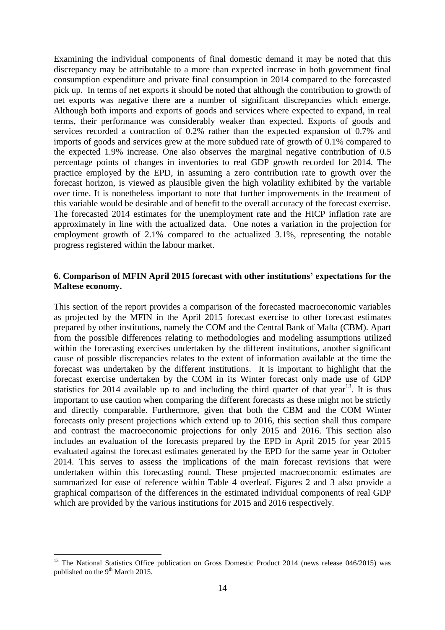Examining the individual components of final domestic demand it may be noted that this discrepancy may be attributable to a more than expected increase in both government final consumption expenditure and private final consumption in 2014 compared to the forecasted pick up. In terms of net exports it should be noted that although the contribution to growth of net exports was negative there are a number of significant discrepancies which emerge. Although both imports and exports of goods and services where expected to expand, in real terms, their performance was considerably weaker than expected. Exports of goods and services recorded a contraction of 0.2% rather than the expected expansion of 0.7% and imports of goods and services grew at the more subdued rate of growth of 0.1% compared to the expected 1.9% increase. One also observes the marginal negative contribution of 0.5 percentage points of changes in inventories to real GDP growth recorded for 2014. The practice employed by the EPD, in assuming a zero contribution rate to growth over the forecast horizon, is viewed as plausible given the high volatility exhibited by the variable over time. It is nonetheless important to note that further improvements in the treatment of this variable would be desirable and of benefit to the overall accuracy of the forecast exercise. The forecasted 2014 estimates for the unemployment rate and the HICP inflation rate are approximately in line with the actualized data. One notes a variation in the projection for employment growth of 2.1% compared to the actualized 3.1%, representing the notable progress registered within the labour market.

#### **6. Comparison of MFIN April 2015 forecast with other institutions' expectations for the Maltese economy.**

This section of the report provides a comparison of the forecasted macroeconomic variables as projected by the MFIN in the April 2015 forecast exercise to other forecast estimates prepared by other institutions, namely the COM and the Central Bank of Malta (CBM). Apart from the possible differences relating to methodologies and modeling assumptions utilized within the forecasting exercises undertaken by the different institutions, another significant cause of possible discrepancies relates to the extent of information available at the time the forecast was undertaken by the different institutions. It is important to highlight that the forecast exercise undertaken by the COM in its Winter forecast only made use of GDP statistics for 2014 available up to and including the third quarter of that year<sup>13</sup>. It is thus important to use caution when comparing the different forecasts as these might not be strictly and directly comparable. Furthermore, given that both the CBM and the COM Winter forecasts only present projections which extend up to 2016, this section shall thus compare and contrast the macroeconomic projections for only 2015 and 2016. This section also includes an evaluation of the forecasts prepared by the EPD in April 2015 for year 2015 evaluated against the forecast estimates generated by the EPD for the same year in October 2014. This serves to assess the implications of the main forecast revisions that were undertaken within this forecasting round. These projected macroeconomic estimates are summarized for ease of reference within Table 4 overleaf. Figures 2 and 3 also provide a graphical comparison of the differences in the estimated individual components of real GDP which are provided by the various institutions for 2015 and 2016 respectively.

1

<sup>&</sup>lt;sup>13</sup> The National Statistics Office publication on Gross Domestic Product 2014 (news release 046/2015) was published on the 9<sup>th</sup> March 2015.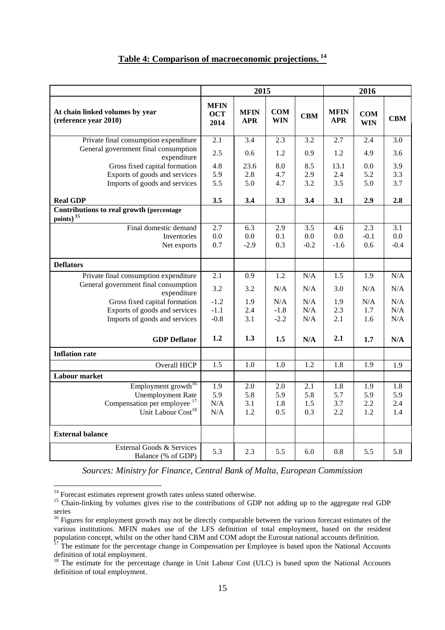| Table 4: Comparison of macroeconomic projections. <sup>14</sup> |  |
|-----------------------------------------------------------------|--|

|                                                          | 2015                              |                           |                          |            | 2016                      |                          |            |
|----------------------------------------------------------|-----------------------------------|---------------------------|--------------------------|------------|---------------------------|--------------------------|------------|
| At chain linked volumes by year<br>(reference year 2010) | <b>MFIN</b><br><b>OCT</b><br>2014 | <b>MFIN</b><br><b>APR</b> | <b>COM</b><br><b>WIN</b> | <b>CBM</b> | <b>MFIN</b><br><b>APR</b> | <b>COM</b><br><b>WIN</b> | <b>CBM</b> |
| Private final consumption expenditure                    | 2.1                               | 3.4                       | 2.3                      | 3.2        | 2.7                       | 2.4                      | 3.0        |
| General government final consumption<br>expenditure      | 2.5                               | 0.6                       | 1.2                      | 0.9        | 1.2                       | 4.9                      | 3.6        |
| Gross fixed capital formation                            | 4.8                               | 23.6                      | 8.0                      | 8.5        | 13.1                      | 0.0                      | 3.9        |
| Exports of goods and services                            | 5.9                               | 2.8                       | 4.7                      | 2.9        | 2.4                       | 5.2                      | 3.3        |
| Imports of goods and services                            | 5.5                               | 5.0                       | 4.7                      | 3.2        | 3.5                       | 5.0                      | 3.7        |
| <b>Real GDP</b>                                          | 3.5                               | 3.4                       | 3.3                      | 3.4        | 3.1                       | 2.9                      | 2.8        |
| Contributions to real growth (percentage                 |                                   |                           |                          |            |                           |                          |            |
| $\frac{\text{points}}{\text{points}}$                    |                                   |                           |                          |            |                           |                          |            |
| Final domestic demand                                    | 2.7                               | 6.3                       | 2.9                      | 3.5        | 4.6                       | 2.3                      | 3.1        |
| Inventories                                              | 0.0                               | 0.0                       | 0.1                      | 0.0        | 0.0                       | $-0.1$                   | 0.0        |
| Net exports                                              | 0.7                               | $-2.9$                    | 0.3                      | $-0.2$     | $-1.6$                    | 0.6                      | $-0.4$     |
| <b>Deflators</b>                                         |                                   |                           |                          |            |                           |                          |            |
| Private final consumption expenditure                    | 2.1                               | 0.9                       | 1.2                      | N/A        | 1.5                       | 1.9                      | N/A        |
| General government final consumption<br>expenditure      | 3.2                               | 3.2                       | N/A                      | N/A        | 3.0                       | N/A                      | N/A        |
| Gross fixed capital formation                            | $-1.2$                            | 1.9                       | N/A                      | N/A        | 1.9                       | N/A                      | N/A        |
| Exports of goods and services                            | $-1.1$                            | 2.4                       | $-1.8$                   | N/A        | 2.3                       | 1.7                      | N/A        |
| Imports of goods and services                            | $-0.8$                            | 3.1                       | $-2.2$                   | N/A        | 2.1                       | 1.6                      | N/A        |
| <b>GDP</b> Deflator                                      | 1.2                               | 1.3                       | 1.5                      | N/A        | 2.1                       | 1.7                      | N/A        |
| <b>Inflation rate</b>                                    |                                   |                           |                          |            |                           |                          |            |
| Overall HICP                                             | 1.5                               | 1.0                       | 1.0                      | 1.2        | 1.8                       | 1.9                      | 1.9        |
| <b>Labour market</b>                                     |                                   |                           |                          |            |                           |                          |            |
| Employment growth <sup>16</sup>                          | 1.9                               | 2.0                       | 2.0                      | 2.1        | 1.8                       | 1.9                      | 1.8        |
| <b>Unemployment Rate</b>                                 | 5.9                               | 5.8                       | 5.9                      | 5.8        | 5.7                       | 5.9                      | 5.9        |
| Compensation per employee <sup>17</sup>                  | N/A                               | 3.1                       | 1.8                      | 1.5        | 3.7                       | 2.2                      | 2.4        |
| Unit Labour Cost <sup>18</sup>                           | N/A                               | 1.2                       | 0.5                      | 0.3        | 2.2                       | 1.2                      | 1.4        |
| <b>External balance</b>                                  |                                   |                           |                          |            |                           |                          |            |
| External Goods & Services<br>Balance (% of GDP)          | 5.3                               | 2.3                       | 5.5                      | 6.0        | 0.8                       | 5.5                      | 5.8        |

*Sources: Ministry for Finance, Central Bank of Malta, European Commission*

1

 $14$  Forecast estimates represent growth rates unless stated otherwise.

<sup>&</sup>lt;sup>15</sup> Chain-linking by volumes gives rise to the contributions of GDP not adding up to the aggregate real GDP series

<sup>&</sup>lt;sup>16</sup> Figures for employment growth may not be directly comparable between the various forecast estimates of the various institutions. MFIN makes use of the LFS definition of total employment, based on the resident population concept, whilst on the other hand CBM and COM adopt the Eurostat national accounts definition.

 $17$ <sup>17</sup> The estimate for the percentage change in Compensation per Employee is based upon the National Accounts definition of total employment.

<sup>&</sup>lt;sup>18</sup> The estimate for the percentage change in Unit Labour Cost (ULC) is based upon the National Accounts definition of total employment.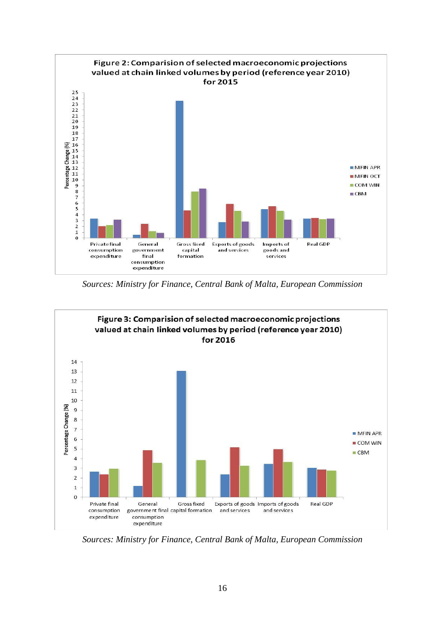

*Sources: Ministry for Finance, Central Bank of Malta, European Commission*



*Sources: Ministry for Finance, Central Bank of Malta, European Commission*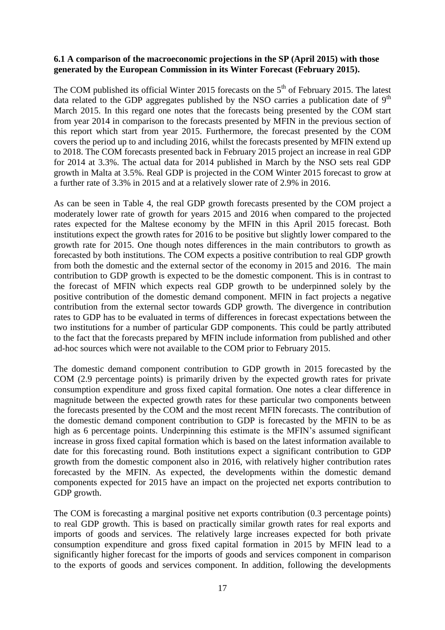#### **6.1 A comparison of the macroeconomic projections in the SP (April 2015) with those generated by the European Commission in its Winter Forecast (February 2015).**

The COM published its official Winter 2015 forecasts on the  $5<sup>th</sup>$  of February 2015. The latest data related to the GDP aggregates published by the NSO carries a publication date of  $9<sup>th</sup>$ March 2015. In this regard one notes that the forecasts being presented by the COM start from year 2014 in comparison to the forecasts presented by MFIN in the previous section of this report which start from year 2015. Furthermore, the forecast presented by the COM covers the period up to and including 2016, whilst the forecasts presented by MFIN extend up to 2018. The COM forecasts presented back in February 2015 project an increase in real GDP for 2014 at 3.3%. The actual data for 2014 published in March by the NSO sets real GDP growth in Malta at 3.5%. Real GDP is projected in the COM Winter 2015 forecast to grow at a further rate of 3.3% in 2015 and at a relatively slower rate of 2.9% in 2016.

As can be seen in Table 4, the real GDP growth forecasts presented by the COM project a moderately lower rate of growth for years 2015 and 2016 when compared to the projected rates expected for the Maltese economy by the MFIN in this April 2015 forecast. Both institutions expect the growth rates for 2016 to be positive but slightly lower compared to the growth rate for 2015. One though notes differences in the main contributors to growth as forecasted by both institutions. The COM expects a positive contribution to real GDP growth from both the domestic and the external sector of the economy in 2015 and 2016. The main contribution to GDP growth is expected to be the domestic component. This is in contrast to the forecast of MFIN which expects real GDP growth to be underpinned solely by the positive contribution of the domestic demand component. MFIN in fact projects a negative contribution from the external sector towards GDP growth. The divergence in contribution rates to GDP has to be evaluated in terms of differences in forecast expectations between the two institutions for a number of particular GDP components. This could be partly attributed to the fact that the forecasts prepared by MFIN include information from published and other ad-hoc sources which were not available to the COM prior to February 2015.

The domestic demand component contribution to GDP growth in 2015 forecasted by the COM (2.9 percentage points) is primarily driven by the expected growth rates for private consumption expenditure and gross fixed capital formation. One notes a clear difference in magnitude between the expected growth rates for these particular two components between the forecasts presented by the COM and the most recent MFIN forecasts. The contribution of the domestic demand component contribution to GDP is forecasted by the MFIN to be as high as 6 percentage points. Underpinning this estimate is the MFIN's assumed significant increase in gross fixed capital formation which is based on the latest information available to date for this forecasting round. Both institutions expect a significant contribution to GDP growth from the domestic component also in 2016, with relatively higher contribution rates forecasted by the MFIN. As expected, the developments within the domestic demand components expected for 2015 have an impact on the projected net exports contribution to GDP growth.

The COM is forecasting a marginal positive net exports contribution (0.3 percentage points) to real GDP growth. This is based on practically similar growth rates for real exports and imports of goods and services. The relatively large increases expected for both private consumption expenditure and gross fixed capital formation in 2015 by MFIN lead to a significantly higher forecast for the imports of goods and services component in comparison to the exports of goods and services component. In addition, following the developments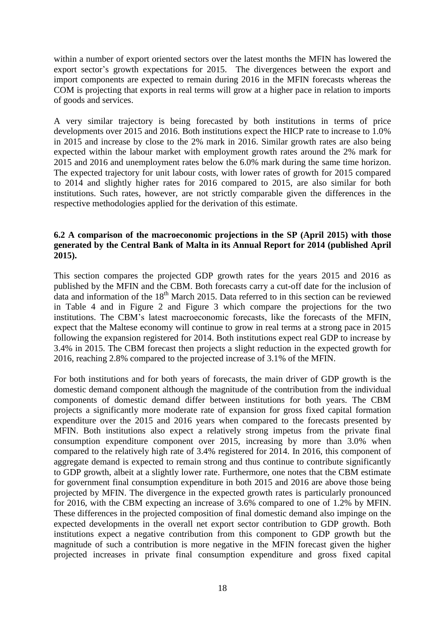within a number of export oriented sectors over the latest months the MFIN has lowered the export sector's growth expectations for 2015. The divergences between the export and import components are expected to remain during 2016 in the MFIN forecasts whereas the COM is projecting that exports in real terms will grow at a higher pace in relation to imports of goods and services.

A very similar trajectory is being forecasted by both institutions in terms of price developments over 2015 and 2016. Both institutions expect the HICP rate to increase to 1.0% in 2015 and increase by close to the 2% mark in 2016. Similar growth rates are also being expected within the labour market with employment growth rates around the 2% mark for 2015 and 2016 and unemployment rates below the 6.0% mark during the same time horizon. The expected trajectory for unit labour costs, with lower rates of growth for 2015 compared to 2014 and slightly higher rates for 2016 compared to 2015, are also similar for both institutions. Such rates, however, are not strictly comparable given the differences in the respective methodologies applied for the derivation of this estimate.

#### **6.2 A comparison of the macroeconomic projections in the SP (April 2015) with those generated by the Central Bank of Malta in its Annual Report for 2014 (published April 2015).**

This section compares the projected GDP growth rates for the years 2015 and 2016 as published by the MFIN and the CBM. Both forecasts carry a cut-off date for the inclusion of data and information of the  $18<sup>th</sup>$  March 2015. Data referred to in this section can be reviewed in Table 4 and in Figure 2 and Figure 3 which compare the projections for the two institutions. The CBM's latest macroeconomic forecasts, like the forecasts of the MFIN, expect that the Maltese economy will continue to grow in real terms at a strong pace in 2015 following the expansion registered for 2014. Both institutions expect real GDP to increase by 3.4% in 2015. The CBM forecast then projects a slight reduction in the expected growth for 2016, reaching 2.8% compared to the projected increase of 3.1% of the MFIN.

For both institutions and for both years of forecasts, the main driver of GDP growth is the domestic demand component although the magnitude of the contribution from the individual components of domestic demand differ between institutions for both years. The CBM projects a significantly more moderate rate of expansion for gross fixed capital formation expenditure over the 2015 and 2016 years when compared to the forecasts presented by MFIN. Both institutions also expect a relatively strong impetus from the private final consumption expenditure component over 2015, increasing by more than 3.0% when compared to the relatively high rate of 3.4% registered for 2014. In 2016, this component of aggregate demand is expected to remain strong and thus continue to contribute significantly to GDP growth, albeit at a slightly lower rate. Furthermore, one notes that the CBM estimate for government final consumption expenditure in both 2015 and 2016 are above those being projected by MFIN. The divergence in the expected growth rates is particularly pronounced for 2016, with the CBM expecting an increase of 3.6% compared to one of 1.2% by MFIN. These differences in the projected composition of final domestic demand also impinge on the expected developments in the overall net export sector contribution to GDP growth. Both institutions expect a negative contribution from this component to GDP growth but the magnitude of such a contribution is more negative in the MFIN forecast given the higher projected increases in private final consumption expenditure and gross fixed capital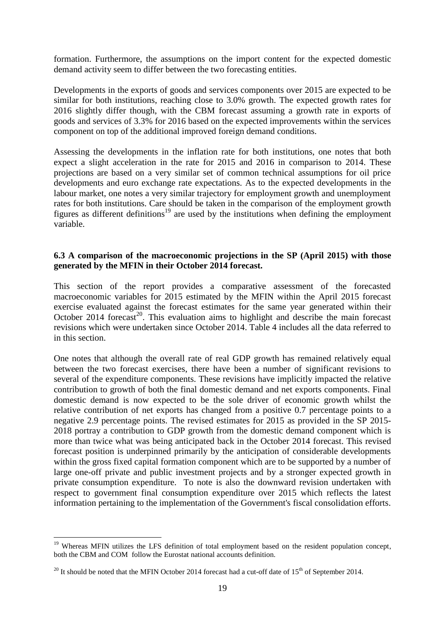formation. Furthermore, the assumptions on the import content for the expected domestic demand activity seem to differ between the two forecasting entities.

Developments in the exports of goods and services components over 2015 are expected to be similar for both institutions, reaching close to 3.0% growth. The expected growth rates for 2016 slightly differ though, with the CBM forecast assuming a growth rate in exports of goods and services of 3.3% for 2016 based on the expected improvements within the services component on top of the additional improved foreign demand conditions.

Assessing the developments in the inflation rate for both institutions, one notes that both expect a slight acceleration in the rate for 2015 and 2016 in comparison to 2014. These projections are based on a very similar set of common technical assumptions for oil price developments and euro exchange rate expectations. As to the expected developments in the labour market, one notes a very similar trajectory for employment growth and unemployment rates for both institutions. Care should be taken in the comparison of the employment growth figures as different definitions<sup>19</sup> are used by the institutions when defining the employment variable.

#### **6.3 A comparison of the macroeconomic projections in the SP (April 2015) with those generated by the MFIN in their October 2014 forecast.**

This section of the report provides a comparative assessment of the forecasted macroeconomic variables for 2015 estimated by the MFIN within the April 2015 forecast exercise evaluated against the forecast estimates for the same year generated within their October 2014 forecast<sup>20</sup>. This evaluation aims to highlight and describe the main forecast revisions which were undertaken since October 2014. Table 4 includes all the data referred to in this section.

One notes that although the overall rate of real GDP growth has remained relatively equal between the two forecast exercises, there have been a number of significant revisions to several of the expenditure components. These revisions have implicitly impacted the relative contribution to growth of both the final domestic demand and net exports components. Final domestic demand is now expected to be the sole driver of economic growth whilst the relative contribution of net exports has changed from a positive 0.7 percentage points to a negative 2.9 percentage points. The revised estimates for 2015 as provided in the SP 2015- 2018 portray a contribution to GDP growth from the domestic demand component which is more than twice what was being anticipated back in the October 2014 forecast. This revised forecast position is underpinned primarily by the anticipation of considerable developments within the gross fixed capital formation component which are to be supported by a number of large one-off private and public investment projects and by a stronger expected growth in private consumption expenditure. To note is also the downward revision undertaken with respect to government final consumption expenditure over 2015 which reflects the latest information pertaining to the implementation of the Government's fiscal consolidation efforts.

1

<sup>&</sup>lt;sup>19</sup> Whereas MFIN utilizes the LFS definition of total employment based on the resident population concept, both the CBM and COM follow the Eurostat national accounts definition.

<sup>&</sup>lt;sup>20</sup> It should be noted that the MFIN October 2014 forecast had a cut-off date of  $15<sup>th</sup>$  of September 2014.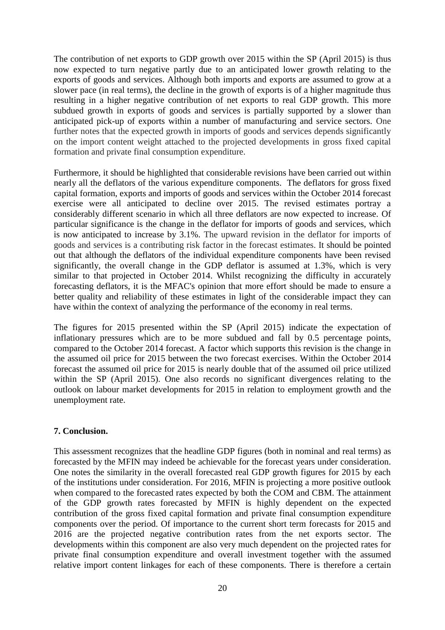The contribution of net exports to GDP growth over 2015 within the SP (April 2015) is thus now expected to turn negative partly due to an anticipated lower growth relating to the exports of goods and services. Although both imports and exports are assumed to grow at a slower pace (in real terms), the decline in the growth of exports is of a higher magnitude thus resulting in a higher negative contribution of net exports to real GDP growth. This more subdued growth in exports of goods and services is partially supported by a slower than anticipated pick-up of exports within a number of manufacturing and service sectors. One further notes that the expected growth in imports of goods and services depends significantly on the import content weight attached to the projected developments in gross fixed capital formation and private final consumption expenditure.

Furthermore, it should be highlighted that considerable revisions have been carried out within nearly all the deflators of the various expenditure components. The deflators for gross fixed capital formation, exports and imports of goods and services within the October 2014 forecast exercise were all anticipated to decline over 2015. The revised estimates portray a considerably different scenario in which all three deflators are now expected to increase. Of particular significance is the change in the deflator for imports of goods and services, which is now anticipated to increase by 3.1%. The upward revision in the deflator for imports of goods and services is a contributing risk factor in the forecast estimates. It should be pointed out that although the deflators of the individual expenditure components have been revised significantly, the overall change in the GDP deflator is assumed at 1.3%, which is very similar to that projected in October 2014. Whilst recognizing the difficulty in accurately forecasting deflators, it is the MFAC's opinion that more effort should be made to ensure a better quality and reliability of these estimates in light of the considerable impact they can have within the context of analyzing the performance of the economy in real terms.

The figures for 2015 presented within the SP (April 2015) indicate the expectation of inflationary pressures which are to be more subdued and fall by 0.5 percentage points, compared to the October 2014 forecast. A factor which supports this revision is the change in the assumed oil price for 2015 between the two forecast exercises. Within the October 2014 forecast the assumed oil price for 2015 is nearly double that of the assumed oil price utilized within the SP (April 2015). One also records no significant divergences relating to the outlook on labour market developments for 2015 in relation to employment growth and the unemployment rate.

#### **7. Conclusion.**

This assessment recognizes that the headline GDP figures (both in nominal and real terms) as forecasted by the MFIN may indeed be achievable for the forecast years under consideration. One notes the similarity in the overall forecasted real GDP growth figures for 2015 by each of the institutions under consideration. For 2016, MFIN is projecting a more positive outlook when compared to the forecasted rates expected by both the COM and CBM. The attainment of the GDP growth rates forecasted by MFIN is highly dependent on the expected contribution of the gross fixed capital formation and private final consumption expenditure components over the period. Of importance to the current short term forecasts for 2015 and 2016 are the projected negative contribution rates from the net exports sector. The developments within this component are also very much dependent on the projected rates for private final consumption expenditure and overall investment together with the assumed relative import content linkages for each of these components. There is therefore a certain